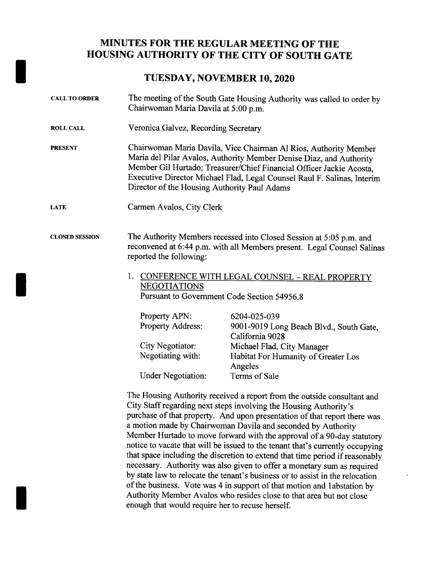## MINUTES FOR THE REGULAR MEETING OF THE HOUSING AUTHORITY OF THE CITY OF SOUTH GATE

## TUESDAY, NOVEMBER 10, 2020

| <b>CALL TO ORDER</b>  | The meeting of the South Gate Housing Authority was called to order by<br>Chairwoman Maria Davila at 5:00 p.m.                                                                                                                                                                                                                             |                                                                                                                                                |  |
|-----------------------|--------------------------------------------------------------------------------------------------------------------------------------------------------------------------------------------------------------------------------------------------------------------------------------------------------------------------------------------|------------------------------------------------------------------------------------------------------------------------------------------------|--|
| <b>ROLL CALL</b>      | Veronica Galvez, Recording Secretary                                                                                                                                                                                                                                                                                                       |                                                                                                                                                |  |
| <b>PRESENT</b>        | Chairwoman Maria Davila, Vice Chairman Al Rios, Authority Member<br>Maria del Pilar Avalos, Authority Member Denise Diaz, and Authority<br>Member Gil Hurtado; Treasurer/Chief Financial Officer Jackie Acosta,<br>Executive Director Michael Flad, Legal Counsel Raul F. Salinas, Interim<br>Director of the Housing Authority Paul Adams |                                                                                                                                                |  |
| <b>LATE</b>           | Carmen Avalos, City Clerk                                                                                                                                                                                                                                                                                                                  |                                                                                                                                                |  |
| <b>CLOSED SESSION</b> | reported the following:                                                                                                                                                                                                                                                                                                                    | The Authority Members recessed into Closed Session at 5:05 p.m. and<br>reconvened at 6:44 p.m. with all Members present. Legal Counsel Salinas |  |
|                       | CONFERENCE WITH LEGAL COUNSEL - REAL PROPERTY<br>1.<br><b>NEGOTIATIONS</b><br>Pursuant to Government Code Section 54956.8                                                                                                                                                                                                                  |                                                                                                                                                |  |
|                       | Property APN:<br>Property Address:                                                                                                                                                                                                                                                                                                         | 6204-025-039<br>9001-9019 Long Beach Blvd., South Gate,<br>California 9028                                                                     |  |
|                       | City Negotiator:<br>Negotiating with:                                                                                                                                                                                                                                                                                                      | Michael Flad, City Manager<br>Habitat For Humanity of Greater Los<br>Angeles                                                                   |  |
|                       | <b>Under Negotiation:</b>                                                                                                                                                                                                                                                                                                                  | Terms of Sale                                                                                                                                  |  |

The Housing Authority received <sup>a</sup> report from the outside consultant and City Staff regarding next steps involving the Housing Authority's purchase of that property. And upon presentation of that report there was <sup>a</sup> motion made by Chairwoman Davila and seconded by Authority Member Hurtado to move forward with the approval of <sup>a</sup> 90-day statutory notice to vacate that will be issued to the tenant that's currently occupying that space including the discretion to extend that time period if reasonably necessary. Authority was also <sup>g</sup>iven to offer <sup>a</sup> monetary sum as required by state law to relocate the tenant's business or to assist in the relocation enough that would require her to recuse herself. of the business. Vote was 4 in support of that motion and labstation by Authority Member Avalos who resides close to that area but not close